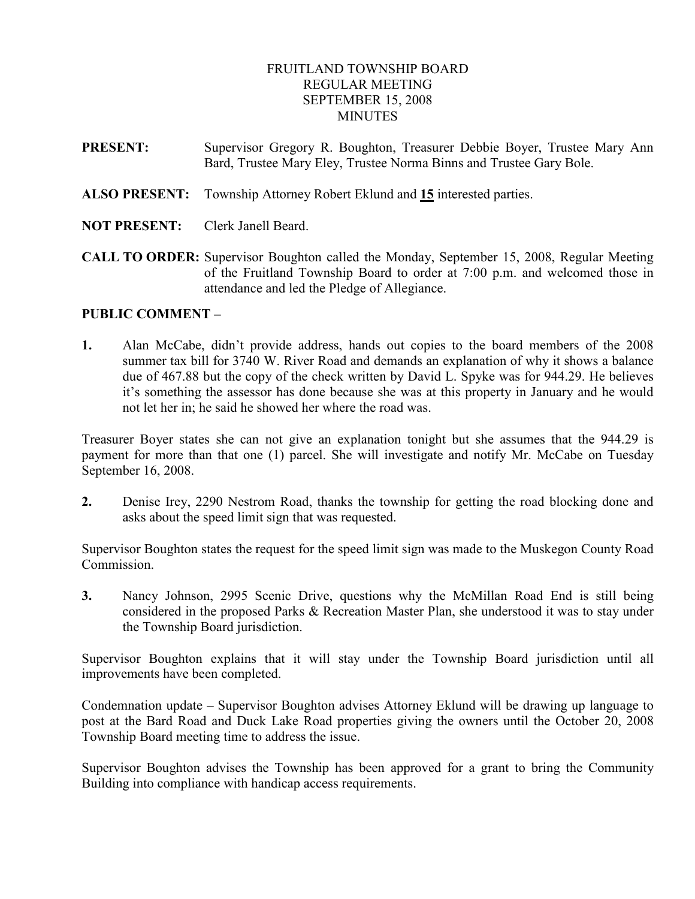## FRUITLAND TOWNSHIP BOARD REGULAR MEETING SEPTEMBER 15, 2008 **MINUTES**

- PRESENT: Supervisor Gregory R. Boughton, Treasurer Debbie Boyer, Trustee Mary Ann Bard, Trustee Mary Eley, Trustee Norma Binns and Trustee Gary Bole.
- ALSO PRESENT: Township Attorney Robert Eklund and 15 interested parties.
- NOT PRESENT: Clerk Janell Beard.
- CALL TO ORDER: Supervisor Boughton called the Monday, September 15, 2008, Regular Meeting of the Fruitland Township Board to order at 7:00 p.m. and welcomed those in attendance and led the Pledge of Allegiance.

### PUBLIC COMMENT –

1. Alan McCabe, didn't provide address, hands out copies to the board members of the 2008 summer tax bill for 3740 W. River Road and demands an explanation of why it shows a balance due of 467.88 but the copy of the check written by David L. Spyke was for 944.29. He believes it's something the assessor has done because she was at this property in January and he would not let her in; he said he showed her where the road was.

Treasurer Boyer states she can not give an explanation tonight but she assumes that the 944.29 is payment for more than that one (1) parcel. She will investigate and notify Mr. McCabe on Tuesday September 16, 2008.

2. Denise Irey, 2290 Nestrom Road, thanks the township for getting the road blocking done and asks about the speed limit sign that was requested.

Supervisor Boughton states the request for the speed limit sign was made to the Muskegon County Road Commission.

3. Nancy Johnson, 2995 Scenic Drive, questions why the McMillan Road End is still being considered in the proposed Parks & Recreation Master Plan, she understood it was to stay under the Township Board jurisdiction.

Supervisor Boughton explains that it will stay under the Township Board jurisdiction until all improvements have been completed.

Condemnation update – Supervisor Boughton advises Attorney Eklund will be drawing up language to post at the Bard Road and Duck Lake Road properties giving the owners until the October 20, 2008 Township Board meeting time to address the issue.

Supervisor Boughton advises the Township has been approved for a grant to bring the Community Building into compliance with handicap access requirements.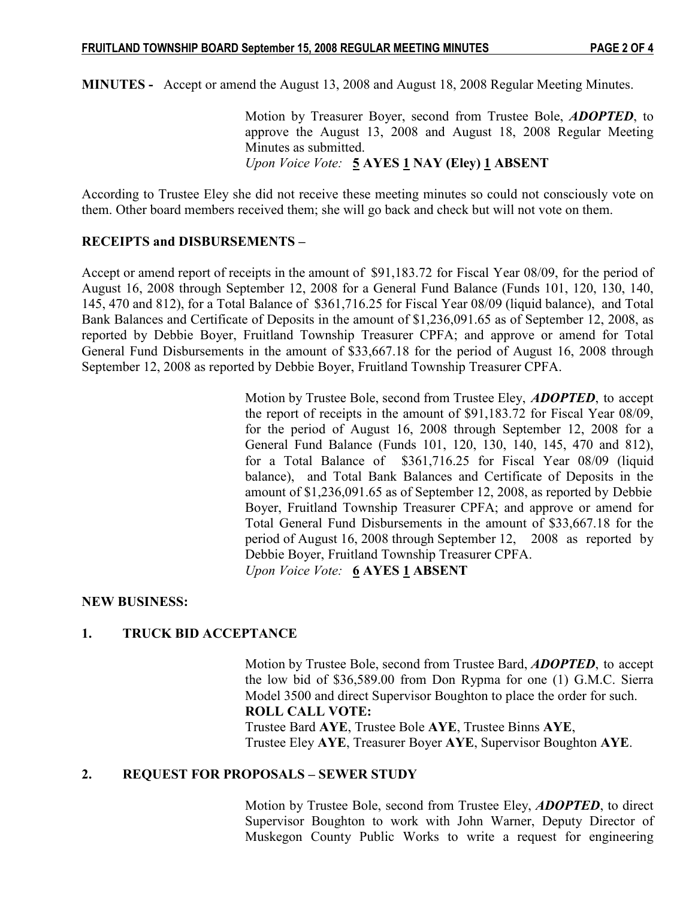MINUTES - Accept or amend the August 13, 2008 and August 18, 2008 Regular Meeting Minutes.

Motion by Treasurer Boyer, second from Trustee Bole, **ADOPTED**, to approve the August 13, 2008 and August 18, 2008 Regular Meeting Minutes as submitted. Upon Voice Vote:  $5$  AYES  $1$  NAY (Eley)  $1$  ABSENT

According to Trustee Eley she did not receive these meeting minutes so could not consciously vote on them. Other board members received them; she will go back and check but will not vote on them.

### RECEIPTS and DISBURSEMENTS –

Accept or amend report of receipts in the amount of \$91,183.72 for Fiscal Year 08/09, for the period of August 16, 2008 through September 12, 2008 for a General Fund Balance (Funds 101, 120, 130, 140, 145, 470 and 812), for a Total Balance of \$361,716.25 for Fiscal Year 08/09 (liquid balance), and Total Bank Balances and Certificate of Deposits in the amount of \$1,236,091.65 as of September 12, 2008, as reported by Debbie Boyer, Fruitland Township Treasurer CPFA; and approve or amend for Total General Fund Disbursements in the amount of \$33,667.18 for the period of August 16, 2008 through September 12, 2008 as reported by Debbie Boyer, Fruitland Township Treasurer CPFA.

> Motion by Trustee Bole, second from Trustee Eley, **ADOPTED**, to accept the report of receipts in the amount of \$91,183.72 for Fiscal Year 08/09, for the period of August 16, 2008 through September 12, 2008 for a General Fund Balance (Funds 101, 120, 130, 140, 145, 470 and 812), for a Total Balance of \$361,716.25 for Fiscal Year 08/09 (liquid balance), and Total Bank Balances and Certificate of Deposits in the amount of \$1,236,091.65 as of September 12, 2008, as reported by Debbie Boyer, Fruitland Township Treasurer CPFA; and approve or amend for Total General Fund Disbursements in the amount of \$33,667.18 for the period of August 16, 2008 through September 12, 2008 as reported by Debbie Boyer, Fruitland Township Treasurer CPFA. Upon Voice Vote: 6 AYES 1 ABSENT

### NEW BUSINESS:

## 1. TRUCK BID ACCEPTANCE

Motion by Trustee Bole, second from Trustee Bard, **ADOPTED**, to accept the low bid of \$36,589.00 from Don Rypma for one (1) G.M.C. Sierra Model 3500 and direct Supervisor Boughton to place the order for such. ROLL CALL VOTE:

 Trustee Bard AYE, Trustee Bole AYE, Trustee Binns AYE, Trustee Eley AYE, Treasurer Boyer AYE, Supervisor Boughton AYE.

### 2. REQUEST FOR PROPOSALS – SEWER STUDY

Motion by Trustee Bole, second from Trustee Eley, ADOPTED, to direct Supervisor Boughton to work with John Warner, Deputy Director of Muskegon County Public Works to write a request for engineering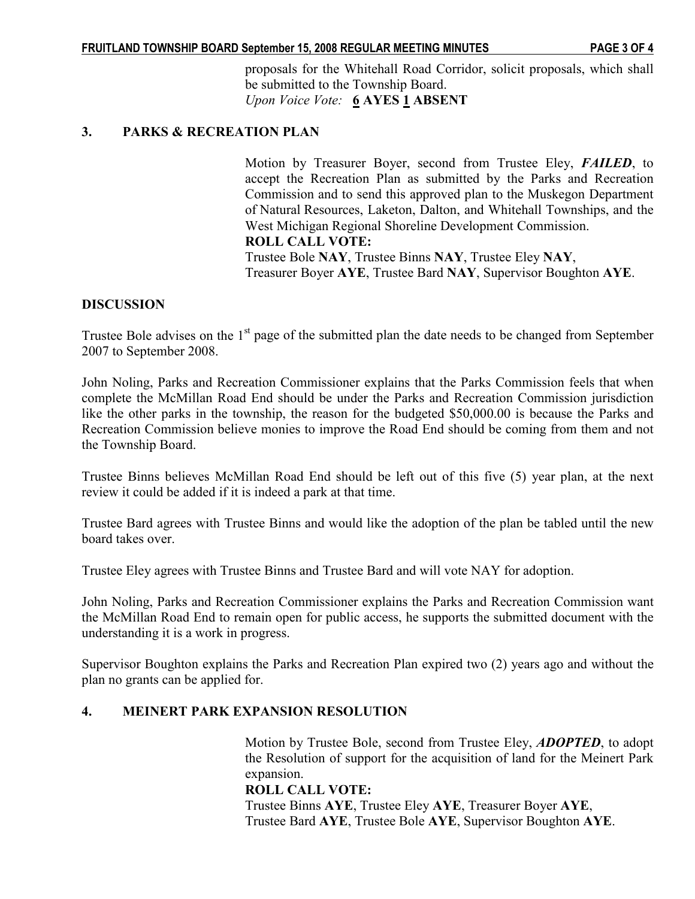proposals for the Whitehall Road Corridor, solicit proposals, which shall be submitted to the Township Board. Upon Voice Vote: 6 AYES 1 ABSENT

# 3. PARKS & RECREATION PLAN

 Motion by Treasurer Boyer, second from Trustee Eley, FAILED, to accept the Recreation Plan as submitted by the Parks and Recreation Commission and to send this approved plan to the Muskegon Department of Natural Resources, Laketon, Dalton, and Whitehall Townships, and the West Michigan Regional Shoreline Development Commission. ROLL CALL VOTE: Trustee Bole NAY, Trustee Binns NAY, Trustee Eley NAY, Treasurer Boyer AYE, Trustee Bard NAY, Supervisor Boughton AYE.

# DISCUSSION

Trustee Bole advises on the  $1<sup>st</sup>$  page of the submitted plan the date needs to be changed from September 2007 to September 2008.

John Noling, Parks and Recreation Commissioner explains that the Parks Commission feels that when complete the McMillan Road End should be under the Parks and Recreation Commission jurisdiction like the other parks in the township, the reason for the budgeted \$50,000.00 is because the Parks and Recreation Commission believe monies to improve the Road End should be coming from them and not the Township Board.

Trustee Binns believes McMillan Road End should be left out of this five (5) year plan, at the next review it could be added if it is indeed a park at that time.

Trustee Bard agrees with Trustee Binns and would like the adoption of the plan be tabled until the new board takes over.

Trustee Eley agrees with Trustee Binns and Trustee Bard and will vote NAY for adoption.

John Noling, Parks and Recreation Commissioner explains the Parks and Recreation Commission want the McMillan Road End to remain open for public access, he supports the submitted document with the understanding it is a work in progress.

Supervisor Boughton explains the Parks and Recreation Plan expired two (2) years ago and without the plan no grants can be applied for.

## 4. MEINERT PARK EXPANSION RESOLUTION

Motion by Trustee Bole, second from Trustee Eley, ADOPTED, to adopt the Resolution of support for the acquisition of land for the Meinert Park expansion.

### ROLL CALL VOTE:

 Trustee Binns AYE, Trustee Eley AYE, Treasurer Boyer AYE, Trustee Bard AYE, Trustee Bole AYE, Supervisor Boughton AYE.